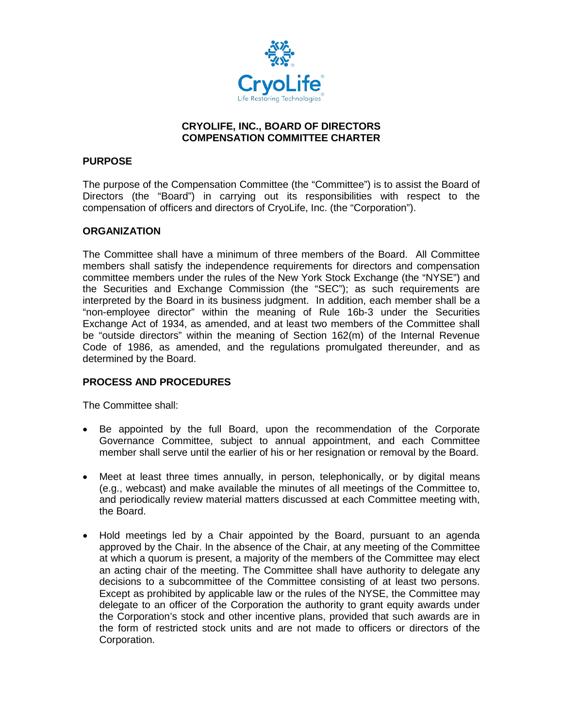

# **CRYOLIFE, INC., BOARD OF DIRECTORS COMPENSATION COMMITTEE CHARTER**

# **PURPOSE**

The purpose of the Compensation Committee (the "Committee") is to assist the Board of Directors (the "Board") in carrying out its responsibilities with respect to the compensation of officers and directors of CryoLife, Inc. (the "Corporation").

# **ORGANIZATION**

The Committee shall have a minimum of three members of the Board. All Committee members shall satisfy the independence requirements for directors and compensation committee members under the rules of the New York Stock Exchange (the "NYSE") and the Securities and Exchange Commission (the "SEC"); as such requirements are interpreted by the Board in its business judgment. In addition, each member shall be a "non-employee director" within the meaning of Rule 16b-3 under the Securities Exchange Act of 1934, as amended, and at least two members of the Committee shall be "outside directors" within the meaning of Section 162(m) of the Internal Revenue Code of 1986, as amended, and the regulations promulgated thereunder, and as determined by the Board.

# **PROCESS AND PROCEDURES**

The Committee shall:

- Be appointed by the full Board, upon the recommendation of the Corporate Governance Committee, subject to annual appointment, and each Committee member shall serve until the earlier of his or her resignation or removal by the Board.
- Meet at least three times annually, in person, telephonically, or by digital means (e.g., webcast) and make available the minutes of all meetings of the Committee to, and periodically review material matters discussed at each Committee meeting with, the Board.
- Hold meetings led by a Chair appointed by the Board, pursuant to an agenda approved by the Chair. In the absence of the Chair, at any meeting of the Committee at which a quorum is present, a majority of the members of the Committee may elect an acting chair of the meeting. The Committee shall have authority to delegate any decisions to a subcommittee of the Committee consisting of at least two persons. Except as prohibited by applicable law or the rules of the NYSE, the Committee may delegate to an officer of the Corporation the authority to grant equity awards under the Corporation's stock and other incentive plans, provided that such awards are in the form of restricted stock units and are not made to officers or directors of the Corporation.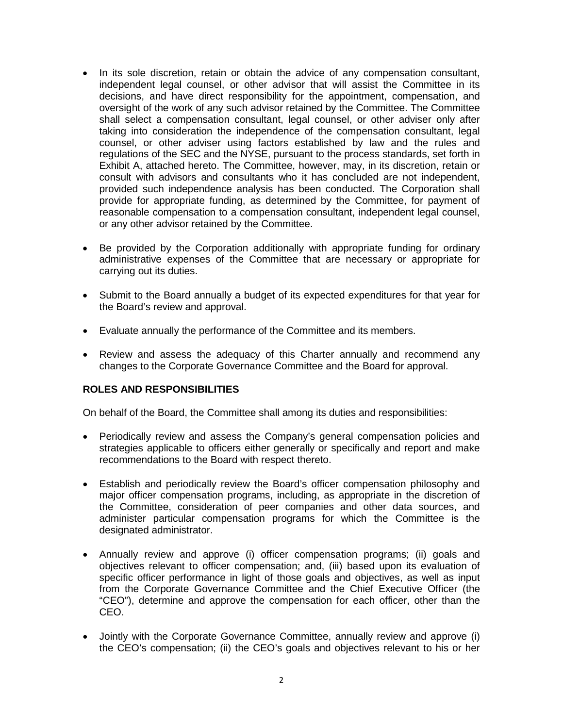- In its sole discretion, retain or obtain the advice of any compensation consultant, independent legal counsel, or other advisor that will assist the Committee in its decisions, and have direct responsibility for the appointment, compensation, and oversight of the work of any such advisor retained by the Committee. The Committee shall select a compensation consultant, legal counsel, or other adviser only after taking into consideration the independence of the compensation consultant, legal counsel, or other adviser using factors established by law and the rules and regulations of the SEC and the NYSE, pursuant to the process standards, set forth in Exhibit A, attached hereto. The Committee, however, may, in its discretion, retain or consult with advisors and consultants who it has concluded are not independent, provided such independence analysis has been conducted. The Corporation shall provide for appropriate funding, as determined by the Committee, for payment of reasonable compensation to a compensation consultant, independent legal counsel, or any other advisor retained by the Committee.
- Be provided by the Corporation additionally with appropriate funding for ordinary administrative expenses of the Committee that are necessary or appropriate for carrying out its duties.
- Submit to the Board annually a budget of its expected expenditures for that year for the Board's review and approval.
- Evaluate annually the performance of the Committee and its members.
- Review and assess the adequacy of this Charter annually and recommend any changes to the Corporate Governance Committee and the Board for approval.

# **ROLES AND RESPONSIBILITIES**

On behalf of the Board, the Committee shall among its duties and responsibilities:

- Periodically review and assess the Company's general compensation policies and strategies applicable to officers either generally or specifically and report and make recommendations to the Board with respect thereto.
- Establish and periodically review the Board's officer compensation philosophy and major officer compensation programs, including, as appropriate in the discretion of the Committee, consideration of peer companies and other data sources, and administer particular compensation programs for which the Committee is the designated administrator.
- Annually review and approve (i) officer compensation programs; (ii) goals and objectives relevant to officer compensation; and, (iii) based upon its evaluation of specific officer performance in light of those goals and objectives, as well as input from the Corporate Governance Committee and the Chief Executive Officer (the "CEO"), determine and approve the compensation for each officer, other than the CEO.
- Jointly with the Corporate Governance Committee, annually review and approve (i) the CEO's compensation; (ii) the CEO's goals and objectives relevant to his or her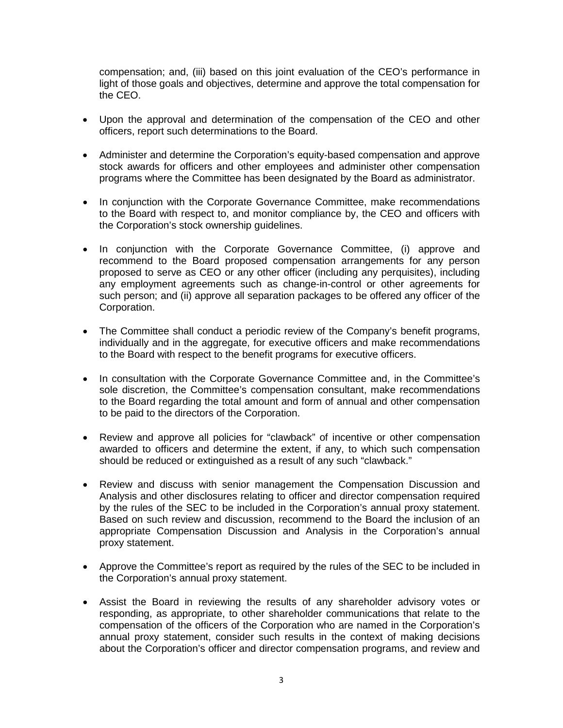compensation; and, (iii) based on this joint evaluation of the CEO's performance in light of those goals and objectives, determine and approve the total compensation for the CEO.

- Upon the approval and determination of the compensation of the CEO and other officers, report such determinations to the Board.
- Administer and determine the Corporation's equity-based compensation and approve stock awards for officers and other employees and administer other compensation programs where the Committee has been designated by the Board as administrator.
- In conjunction with the Corporate Governance Committee, make recommendations to the Board with respect to, and monitor compliance by, the CEO and officers with the Corporation's stock ownership guidelines.
- In conjunction with the Corporate Governance Committee, (i) approve and recommend to the Board proposed compensation arrangements for any person proposed to serve as CEO or any other officer (including any perquisites), including any employment agreements such as change-in-control or other agreements for such person; and (ii) approve all separation packages to be offered any officer of the Corporation.
- The Committee shall conduct a periodic review of the Company's benefit programs, individually and in the aggregate, for executive officers and make recommendations to the Board with respect to the benefit programs for executive officers.
- In consultation with the Corporate Governance Committee and, in the Committee's sole discretion, the Committee's compensation consultant, make recommendations to the Board regarding the total amount and form of annual and other compensation to be paid to the directors of the Corporation.
- Review and approve all policies for "clawback" of incentive or other compensation awarded to officers and determine the extent, if any, to which such compensation should be reduced or extinguished as a result of any such "clawback."
- Review and discuss with senior management the Compensation Discussion and Analysis and other disclosures relating to officer and director compensation required by the rules of the SEC to be included in the Corporation's annual proxy statement. Based on such review and discussion, recommend to the Board the inclusion of an appropriate Compensation Discussion and Analysis in the Corporation's annual proxy statement.
- Approve the Committee's report as required by the rules of the SEC to be included in the Corporation's annual proxy statement.
- Assist the Board in reviewing the results of any shareholder advisory votes or responding, as appropriate, to other shareholder communications that relate to the compensation of the officers of the Corporation who are named in the Corporation's annual proxy statement, consider such results in the context of making decisions about the Corporation's officer and director compensation programs, and review and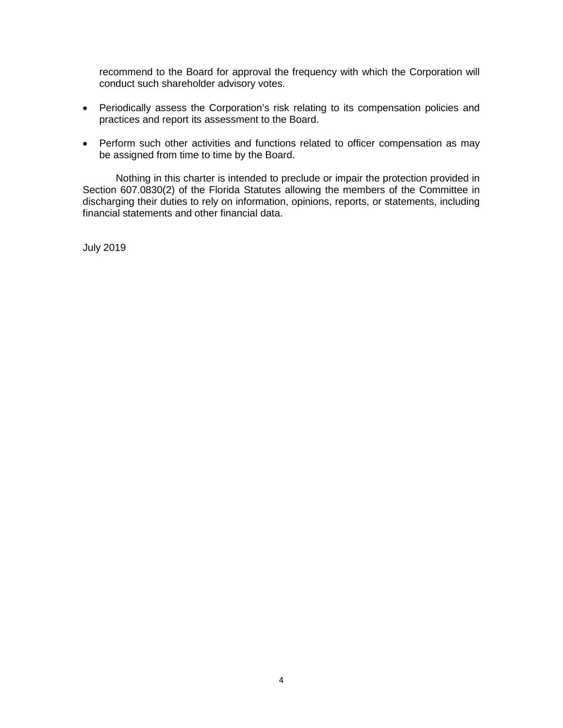recommend to the Board for approval the frequency with which the Corporation will conduct such shareholder advisory votes.

- Periodically assess the Corporation's risk relating to its compensation policies and practices and report its assessment to the Board.
- Perform such other activities and functions related to officer compensation as may be assigned from time to time by the Board.

Nothing in this charter is intended to preclude or impair the protection provided in Section 607.0830(2) of the Florida Statutes allowing the members of the Committee in discharging their duties to rely on information, opinions, reports, or statements, including financial statements and other financial data.

July 2019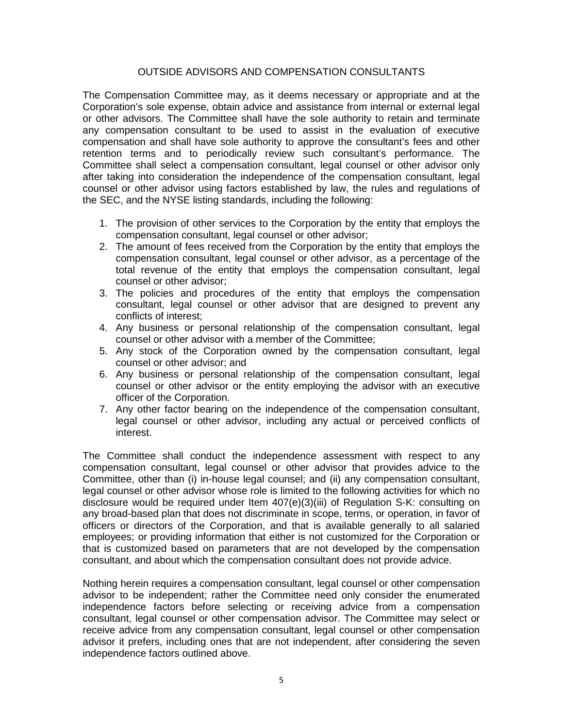# OUTSIDE ADVISORS AND COMPENSATION CONSULTANTS

The Compensation Committee may, as it deems necessary or appropriate and at the Corporation's sole expense, obtain advice and assistance from internal or external legal or other advisors. The Committee shall have the sole authority to retain and terminate any compensation consultant to be used to assist in the evaluation of executive compensation and shall have sole authority to approve the consultant's fees and other retention terms and to periodically review such consultant's performance. The Committee shall select a compensation consultant, legal counsel or other advisor only after taking into consideration the independence of the compensation consultant, legal counsel or other advisor using factors established by law, the rules and regulations of the SEC, and the NYSE listing standards, including the following:

- 1. The provision of other services to the Corporation by the entity that employs the compensation consultant, legal counsel or other advisor;
- 2. The amount of fees received from the Corporation by the entity that employs the compensation consultant, legal counsel or other advisor, as a percentage of the total revenue of the entity that employs the compensation consultant, legal counsel or other advisor;
- 3. The policies and procedures of the entity that employs the compensation consultant, legal counsel or other advisor that are designed to prevent any conflicts of interest;
- 4. Any business or personal relationship of the compensation consultant, legal counsel or other advisor with a member of the Committee;
- 5. Any stock of the Corporation owned by the compensation consultant, legal counsel or other advisor; and
- 6. Any business or personal relationship of the compensation consultant, legal counsel or other advisor or the entity employing the advisor with an executive officer of the Corporation.
- 7. Any other factor bearing on the independence of the compensation consultant, legal counsel or other advisor, including any actual or perceived conflicts of interest.

The Committee shall conduct the independence assessment with respect to any compensation consultant, legal counsel or other advisor that provides advice to the Committee, other than (i) in-house legal counsel; and (ii) any compensation consultant, legal counsel or other advisor whose role is limited to the following activities for which no disclosure would be required under Item 407(e)(3)(iii) of Regulation S-K: consulting on any broad-based plan that does not discriminate in scope, terms, or operation, in favor of officers or directors of the Corporation, and that is available generally to all salaried employees; or providing information that either is not customized for the Corporation or that is customized based on parameters that are not developed by the compensation consultant, and about which the compensation consultant does not provide advice.

Nothing herein requires a compensation consultant, legal counsel or other compensation advisor to be independent; rather the Committee need only consider the enumerated independence factors before selecting or receiving advice from a compensation consultant, legal counsel or other compensation advisor. The Committee may select or receive advice from any compensation consultant, legal counsel or other compensation advisor it prefers, including ones that are not independent, after considering the seven independence factors outlined above.